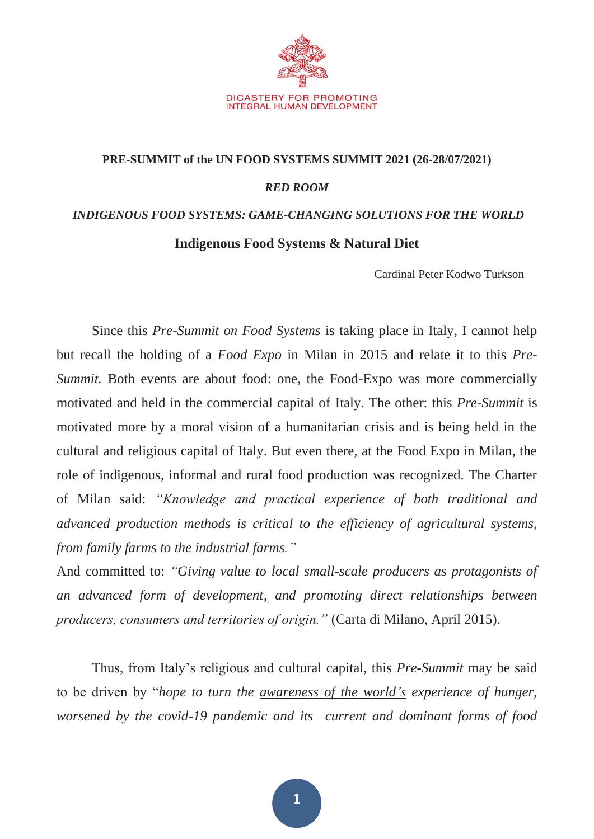

## **PRE-SUMMIT of the UN FOOD SYSTEMS SUMMIT 2021 (26-28/07/2021)** *RED ROOM INDIGENOUS FOOD SYSTEMS: GAME-CHANGING SOLUTIONS FOR THE WORLD*

## **Indigenous Food Systems & Natural Diet**

Cardinal Peter Kodwo Turkson

Since this *Pre-Summit on Food Systems* is taking place in Italy, I cannot help but recall the holding of a *Food Expo* in Milan in 2015 and relate it to this *Pre-Summit.* Both events are about food: one, the Food-Expo was more commercially motivated and held in the commercial capital of Italy. The other: this *Pre-Summit* is motivated more by a moral vision of a humanitarian crisis and is being held in the cultural and religious capital of Italy. But even there, at the Food Expo in Milan, the role of indigenous, informal and rural food production was recognized. The Charter of Milan said: *"Knowledge and practical experience of both traditional and advanced production methods is critical to the efficiency of agricultural systems, from family farms to the industrial farms."*

And committed to: *"Giving value to local small-scale producers as protagonists of an advanced form of development, and promoting direct relationships between producers, consumers and territories of origin."* (Carta di Milano, April 2015).

Thus, from Italy's religious and cultural capital, this *Pre-Summit* may be said to be driven by "*hope to turn the awareness of the world's experience of hunger, worsened by the covid-19 pandemic and its current and dominant forms of food*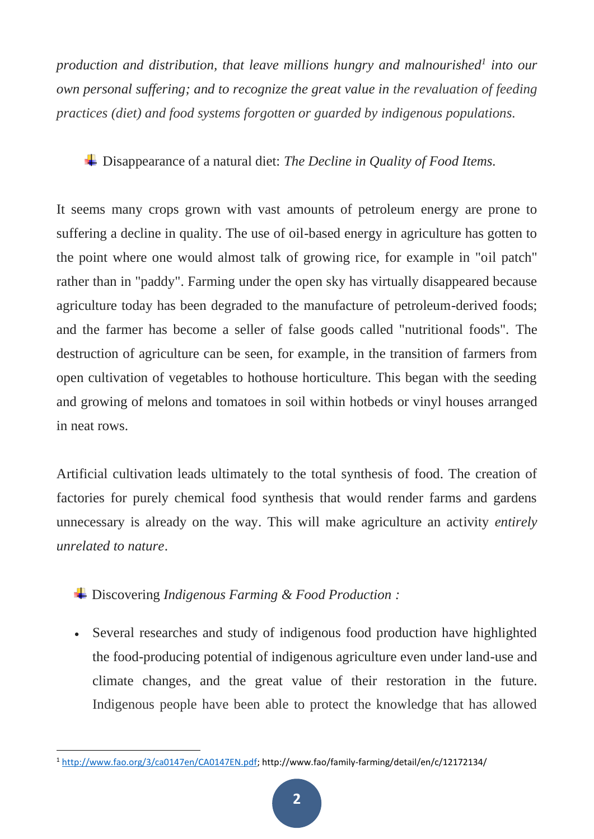*production and distribution, that leave millions hungry and malnourished<sup>1</sup> into our own personal suffering; and to recognize the great value in the revaluation of feeding practices (diet) and food systems forgotten or guarded by indigenous populations.*

## Disappearance of a natural diet: *The Decline in Quality of Food Items.*

It seems many crops grown with vast amounts of petroleum energy are prone to suffering a decline in quality. The use of oil-based energy in agriculture has gotten to the point where one would almost talk of growing rice, for example in "oil patch" rather than in "paddy". Farming under the open sky has virtually disappeared because agriculture today has been degraded to the manufacture of petroleum-derived foods; and the farmer has become a seller of false goods called "nutritional foods". The destruction of agriculture can be seen, for example, in the transition of farmers from open cultivation of vegetables to hothouse horticulture. This began with the seeding and growing of melons and tomatoes in soil within hotbeds or vinyl houses arranged in neat rows.

Artificial cultivation leads ultimately to the total synthesis of food. The creation of factories for purely chemical food synthesis that would render farms and gardens unnecessary is already on the way. This will make agriculture an activity *entirely unrelated to nature*.

Discovering *Indigenous Farming & Food Production :*

• Several researches and study of indigenous food production have highlighted the food-producing potential of indigenous agriculture even under land-use and climate changes, and the great value of their restoration in the future. Indigenous people have been able to protect the knowledge that has allowed

<sup>1</sup> [http://www.fao.org/3/ca0147en/CA0147EN.pdf;](http://www.fao.org/3/ca0147en/CA0147EN.pdf) http://www.fao/family-farming/detail/en/c/12172134/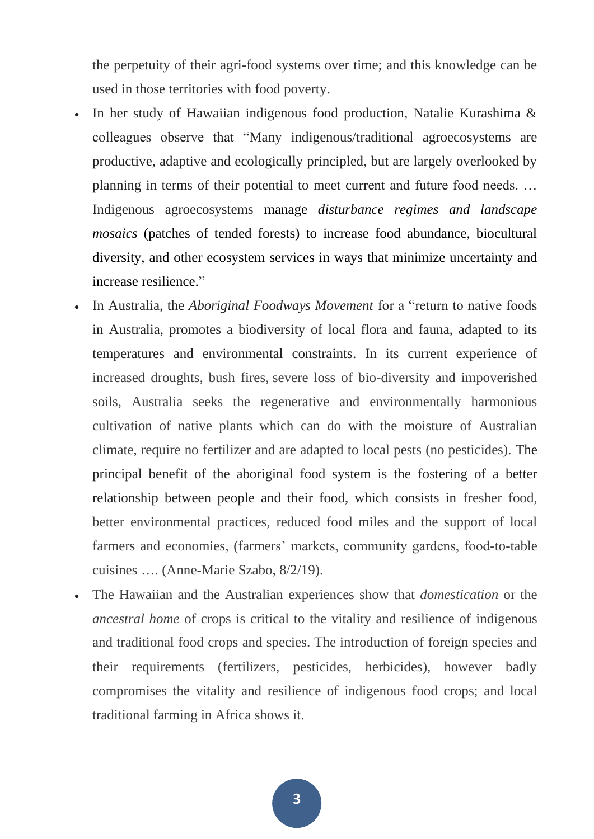the perpetuity of their agri-food systems over time; and this knowledge can be used in those territories with food poverty.

- In her study of Hawaiian indigenous food production, Natalie Kurashima & colleagues observe that "Many indigenous/traditional agroecosystems are productive, adaptive and ecologically principled, but are largely overlooked by planning in terms of their potential to meet current and future food needs. … Indigenous agroecosystems manage *disturbance regimes and landscape mosaics* (patches of tended forests) to increase food abundance, biocultural diversity, and other ecosystem services in ways that minimize uncertainty and increase resilience."
- In Australia, the *Aboriginal Foodways Movement* for a "return to native foods in Australia, promotes a biodiversity of local flora and fauna, adapted to its temperatures and environmental constraints. In its current experience of increased droughts, bush fires, severe loss of bio-diversity and impoverished soils, Australia seeks the regenerative and environmentally harmonious cultivation of native plants which can do with the moisture of Australian climate, require no fertilizer and are adapted to local pests (no pesticides). The principal benefit of the aboriginal food system is the fostering of a better relationship between people and their food, which consists in fresher food, better environmental practices, reduced food miles and the support of local farmers and economies, (farmers' markets, community gardens, food-to-table cuisines …. (Anne-Marie Szabo, 8/2/19).
- The Hawaiian and the Australian experiences show that *domestication* or the *ancestral home* of crops is critical to the vitality and resilience of indigenous and traditional food crops and species. The introduction of foreign species and their requirements (fertilizers, pesticides, herbicides), however badly compromises the vitality and resilience of indigenous food crops; and local traditional farming in Africa shows it.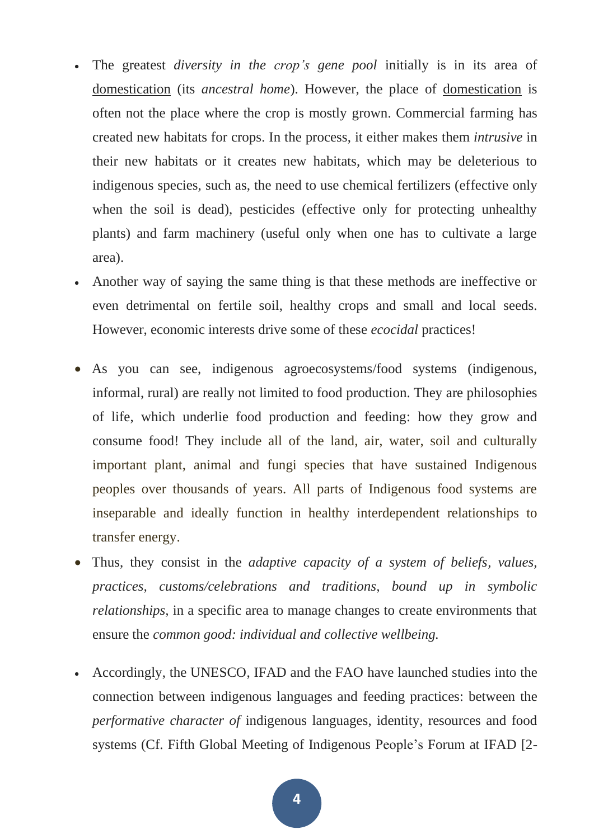- The greatest *diversity in the crop's gene pool* initially is in its area of domestication (its *ancestral home*). However, the place of domestication is often not the place where the crop is mostly grown. Commercial farming has created new habitats for crops. In the process, it either makes them *intrusive* in their new habitats or it creates new habitats, which may be deleterious to indigenous species, such as, the need to use chemical fertilizers (effective only when the soil is dead), pesticides (effective only for protecting unhealthy plants) and farm machinery (useful only when one has to cultivate a large area).
- Another way of saying the same thing is that these methods are ineffective or even detrimental on fertile soil, healthy crops and small and local seeds. However, economic interests drive some of these *ecocidal* practices!
- As you can see, indigenous agroecosystems/food systems (indigenous, informal, rural) are really not limited to food production. They are philosophies of life, which underlie food production and feeding: how they grow and consume food! They include all of the land, air, water, soil and culturally important plant, animal and fungi species that have sustained Indigenous peoples over thousands of years. All parts of Indigenous food systems are inseparable and ideally function in healthy interdependent relationships to transfer energy.
- Thus, they consist in the *adaptive capacity of a system of beliefs, values, practices, customs/celebrations and traditions, bound up in symbolic relationships,* in a specific area to manage changes to create environments that ensure the *common good: individual and collective wellbeing.*
- Accordingly, the UNESCO, IFAD and the FAO have launched studies into the connection between indigenous languages and feeding practices: between the *performative character of* indigenous languages, identity, resources and food systems (Cf. Fifth Global Meeting of Indigenous People's Forum at IFAD [2-